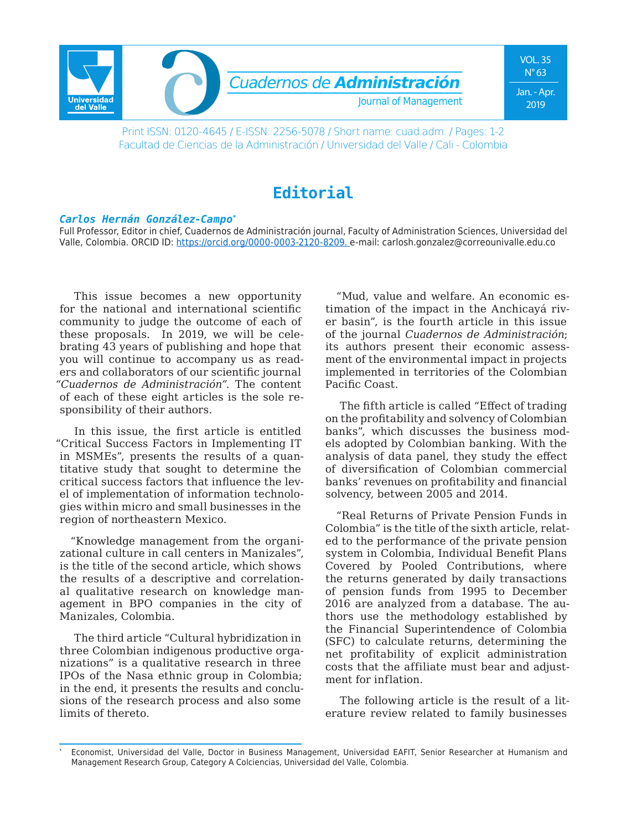

Print ISSN: 0120-4645 / E-ISSN: 2256-5078 / Short name: cuad.adm. / Pages: 1-2 Facultad de Ciencias de la Administración / Universidad del Valle / Cali - Colombia

## **Editorial**

## *Carlos Hernán González-Campo\**

Full Professor, Editor in chief, Cuadernos de Administración journal, Faculty of Administration Sciences, Universidad del Valle, Colombia. ORCID ID: https://orcid.org/0000-0003-2120-8209. e-mail: carlosh.gonzalez@correounivalle.edu.co

This issue becomes a new opportunity for the national and international scientific community to judge the outcome of each of these proposals. In 2019, we will be celebrating 43 years of publishing and hope that you will continue to accompany us as readers and collaborators of our scientific journal *"Cuadernos de Administración".* The content of each of these eight articles is the sole responsibility of their authors.

In this issue, the first article is entitled "Critical Success Factors in Implementing IT in MSMEs", presents the results of a quantitative study that sought to determine the critical success factors that influence the level of implementation of information technologies within micro and small businesses in the region of northeastern Mexico.

"Knowledge management from the organizational culture in call centers in Manizales", is the title of the second article, which shows the results of a descriptive and correlational qualitative research on knowledge management in BPO companies in the city of Manizales, Colombia.

The third article "Cultural hybridization in three Colombian indigenous productive organizations" is a qualitative research in three IPOs of the Nasa ethnic group in Colombia; in the end, it presents the results and conclusions of the research process and also some limits of thereto.

"Mud, value and welfare. An economic estimation of the impact in the Anchicayá river basin", is the fourth article in this issue of the journal *Cuadernos de Administración*; its authors present their economic assessment of the environmental impact in projects implemented in territories of the Colombian Pacific Coast.

The fifth article is called "Effect of trading on the profitability and solvency of Colombian banks", which discusses the business models adopted by Colombian banking. With the analysis of data panel, they study the effect of diversification of Colombian commercial banks' revenues on profitability and financial solvency, between 2005 and 2014.

"Real Returns of Private Pension Funds in Colombia" is the title of the sixth article, related to the performance of the private pension system in Colombia, Individual Benefit Plans Covered by Pooled Contributions, where the returns generated by daily transactions of pension funds from 1995 to December 2016 are analyzed from a database. The authors use the methodology established by the Financial Superintendence of Colombia (SFC) to calculate returns, determining the net profitability of explicit administration costs that the affiliate must bear and adjustment for inflation.

The following article is the result of a literature review related to family businesses

<sup>\*</sup> Economist, Universidad del Valle, Doctor in Business Management, Universidad EAFIT, Senior Researcher at Humanism and Management Research Group, Category A Colciencias, Universidad del Valle, Colombia.